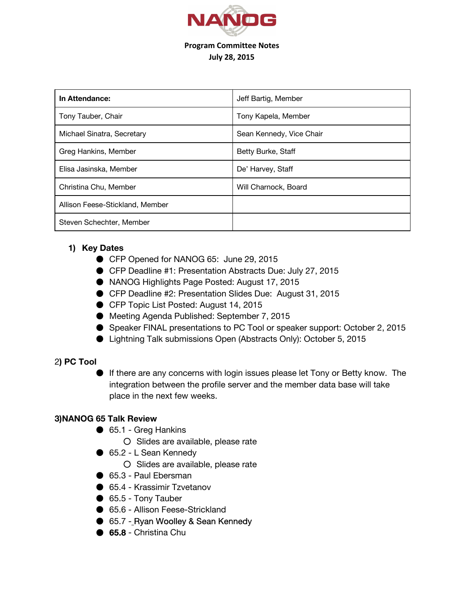

# July 28, 2015

| In Attendance:                  | Jeff Bartig, Member      |
|---------------------------------|--------------------------|
| Tony Tauber, Chair              | Tony Kapela, Member      |
| Michael Sinatra, Secretary      | Sean Kennedy, Vice Chair |
| Greg Hankins, Member            | Betty Burke, Staff       |
| Elisa Jasinska, Member          | De' Harvey, Staff        |
| Christina Chu, Member           | Will Charnock, Board     |
| Allison Feese-Stickland, Member |                          |
| Steven Schechter, Member        |                          |

## **1) Key Dates**

- CFP Opened for NANOG 65: June 29, 2015
- CFP Deadline #1: Presentation Abstracts Due: July 27, 2015
- NANOG Highlights Page Posted: August 17, 2015
- CFP Deadline #2: Presentation Slides Due: August 31, 2015
- CFP Topic List Posted: August 14, 2015
- Meeting Agenda Published: September 7, 2015
- Speaker FINAL presentations to PC Tool or speaker support: October 2, 2015
- Lightning Talk submissions Open (Abstracts Only): October 5, 2015

### 2**) PC Tool**

● If there are any concerns with login issues please let Tony or Betty know. The integration between the profile server and the member data base will take place in the next few weeks.

### **3)NANOG 65 Talk Review**

- 65.1 Greg Hankins
	- Slides are available, please rate
- 65.2 L Sean Kennedy
	- Slides are available, please rate
- 65.3 Paul Ebersman
- 65.4 Krassimir Tzvetanov
- 65.5 Tony Tauber
- 65.6 Allison Feese-Strickland
- 65.7 Ryan Woolley & Sean Kennedy
- **65.8** Christina Chu